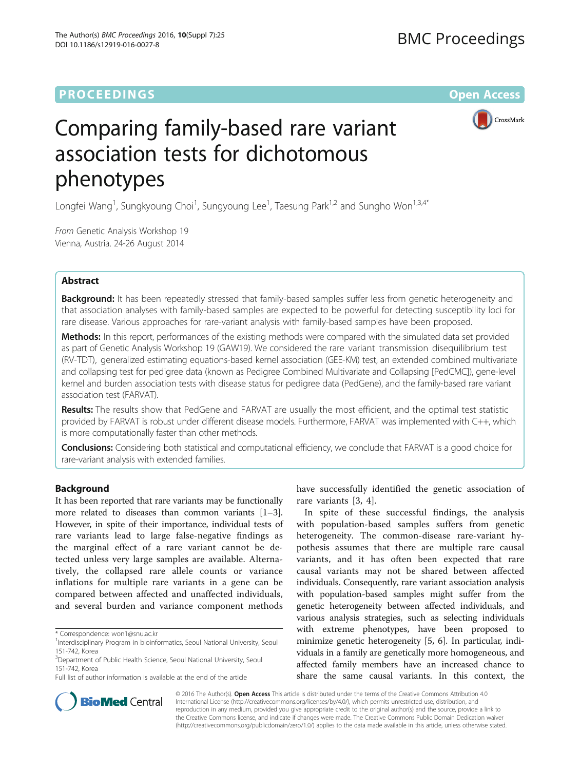## **PROCEEDINGS STATE ACCESS CONSUMING S** Open Access



# Comparing family-based rare variant association tests for dichotomous phenotypes

Longfei Wang<sup>1</sup>, Sungkyoung Choi<sup>1</sup>, Sungyoung Lee<sup>1</sup>, Taesung Park<sup>1,2</sup> and Sungho Won<sup>1,3,4\*</sup>

From Genetic Analysis Workshop 19 Vienna, Austria. 24-26 August 2014

## Abstract

**Background:** It has been repeatedly stressed that family-based samples suffer less from genetic heterogeneity and that association analyses with family-based samples are expected to be powerful for detecting susceptibility loci for rare disease. Various approaches for rare-variant analysis with family-based samples have been proposed.

Methods: In this report, performances of the existing methods were compared with the simulated data set provided as part of Genetic Analysis Workshop 19 (GAW19). We considered the rare variant transmission disequilibrium test (RV-TDT), generalized estimating equations-based kernel association (GEE-KM) test, an extended combined multivariate and collapsing test for pedigree data (known as Pedigree Combined Multivariate and Collapsing [PedCMC]), gene-level kernel and burden association tests with disease status for pedigree data (PedGene), and the family-based rare variant association test (FARVAT).

Results: The results show that PedGene and FARVAT are usually the most efficient, and the optimal test statistic provided by FARVAT is robust under different disease models. Furthermore, FARVAT was implemented with C++, which is more computationally faster than other methods.

**Conclusions:** Considering both statistical and computational efficiency, we conclude that FARVAT is a good choice for rare-variant analysis with extended families.

## Background

It has been reported that rare variants may be functionally more related to diseases than common variants [[1](#page-4-0)–[3](#page-4-0)]. However, in spite of their importance, individual tests of rare variants lead to large false-negative findings as the marginal effect of a rare variant cannot be detected unless very large samples are available. Alternatively, the collapsed rare allele counts or variance inflations for multiple rare variants in a gene can be compared between affected and unaffected individuals, and several burden and variance component methods

<sup>3</sup>Department of Public Health Science, Seoul National University, Seoul 151-742, Korea

Full list of author information is available at the end of the article

have successfully identified the genetic association of rare variants [\[3](#page-4-0), [4](#page-4-0)].

In spite of these successful findings, the analysis with population-based samples suffers from genetic heterogeneity. The common-disease rare-variant hypothesis assumes that there are multiple rare causal variants, and it has often been expected that rare causal variants may not be shared between affected individuals. Consequently, rare variant association analysis with population-based samples might suffer from the genetic heterogeneity between affected individuals, and various analysis strategies, such as selecting individuals with extreme phenotypes, have been proposed to minimize genetic heterogeneity [\[5, 6\]](#page-5-0). In particular, individuals in a family are genetically more homogeneous, and affected family members have an increased chance to share the same causal variants. In this context, the



© 2016 The Author(s). Open Access This article is distributed under the terms of the Creative Commons Attribution 4.0 International License [\(http://creativecommons.org/licenses/by/4.0/](http://creativecommons.org/licenses/by/4.0/)), which permits unrestricted use, distribution, and reproduction in any medium, provided you give appropriate credit to the original author(s) and the source, provide a link to the Creative Commons license, and indicate if changes were made. The Creative Commons Public Domain Dedication waiver [\(http://creativecommons.org/publicdomain/zero/1.0/](http://bmcproc.biomedcentral.com/articles/supplements/volume-10-supplement-7)) applies to the data made available in this article, unless otherwise stated.

<sup>\*</sup> Correspondence: [won1@snu.ac.kr](mailto:won1@snu.ac.kr) <sup>1</sup>

<sup>&</sup>lt;sup>1</sup>Interdisciplinary Program in bioinformatics, Seoul National University, Seoul 151-742, Korea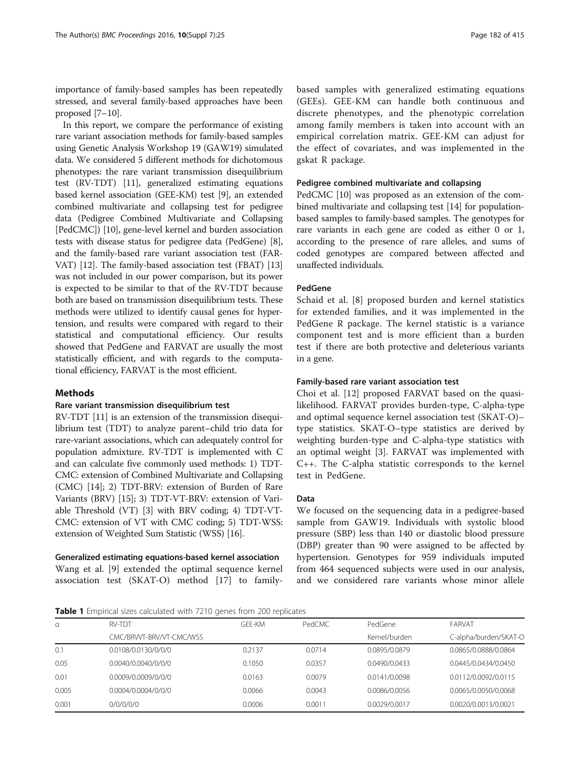<span id="page-1-0"></span>importance of family-based samples has been repeatedly stressed, and several family-based approaches have been proposed [\[7](#page-5-0)–[10\]](#page-5-0).

In this report, we compare the performance of existing rare variant association methods for family-based samples using Genetic Analysis Workshop 19 (GAW19) simulated data. We considered 5 different methods for dichotomous phenotypes: the rare variant transmission disequilibrium test (RV-TDT) [[11](#page-5-0)], generalized estimating equations based kernel association (GEE-KM) test [\[9\]](#page-5-0), an extended combined multivariate and collapsing test for pedigree data (Pedigree Combined Multivariate and Collapsing [PedCMC]) [\[10\]](#page-5-0), gene-level kernel and burden association tests with disease status for pedigree data (PedGene) [[8](#page-5-0)], and the family-based rare variant association test (FAR-VAT) [\[12\]](#page-5-0). The family-based association test (FBAT) [[13](#page-5-0)] was not included in our power comparison, but its power is expected to be similar to that of the RV-TDT because both are based on transmission disequilibrium tests. These methods were utilized to identify causal genes for hypertension, and results were compared with regard to their statistical and computational efficiency. Our results showed that PedGene and FARVAT are usually the most statistically efficient, and with regards to the computational efficiency, FARVAT is the most efficient.

## Methods

#### Rare variant transmission disequilibrium test

RV-TDT [\[11\]](#page-5-0) is an extension of the transmission disequilibrium test (TDT) to analyze parent–child trio data for rare-variant associations, which can adequately control for population admixture. RV-TDT is implemented with C and can calculate five commonly used methods: 1) TDT-CMC: extension of Combined Multivariate and Collapsing (CMC) [[14](#page-5-0)]; 2) TDT-BRV: extension of Burden of Rare Variants (BRV) [[15](#page-5-0)]; 3) TDT-VT-BRV: extension of Variable Threshold (VT) [\[3](#page-4-0)] with BRV coding; 4) TDT-VT-CMC: extension of VT with CMC coding; 5) TDT-WSS: extension of Weighted Sum Statistic (WSS) [\[16\]](#page-5-0).

#### Generalized estimating equations-based kernel association

Wang et al. [[9\]](#page-5-0) extended the optimal sequence kernel association test (SKAT-O) method [[17\]](#page-5-0) to familybased samples with generalized estimating equations (GEEs). GEE-KM can handle both continuous and discrete phenotypes, and the phenotypic correlation among family members is taken into account with an empirical correlation matrix. GEE-KM can adjust for the effect of covariates, and was implemented in the gskat R package.

#### Pedigree combined multivariate and collapsing

PedCMC [\[10\]](#page-5-0) was proposed as an extension of the combined multivariate and collapsing test [[14](#page-5-0)] for populationbased samples to family-based samples. The genotypes for rare variants in each gene are coded as either 0 or 1, according to the presence of rare alleles, and sums of coded genotypes are compared between affected and unaffected individuals.

## PedGene

Schaid et al. [[8\]](#page-5-0) proposed burden and kernel statistics for extended families, and it was implemented in the PedGene R package. The kernel statistic is a variance component test and is more efficient than a burden test if there are both protective and deleterious variants in a gene.

## Family-based rare variant association test

Choi et al. [\[12\]](#page-5-0) proposed FARVAT based on the quasilikelihood. FARVAT provides burden-type, C-alpha-type and optimal sequence kernel association test (SKAT-O)– type statistics. SKAT-O–type statistics are derived by weighting burden-type and C-alpha-type statistics with an optimal weight [\[3](#page-4-0)]. FARVAT was implemented with C++. The C-alpha statistic corresponds to the kernel test in PedGene.

#### Data

We focused on the sequencing data in a pedigree-based sample from GAW19. Individuals with systolic blood pressure (SBP) less than 140 or diastolic blood pressure (DBP) greater than 90 were assigned to be affected by hypertension. Genotypes for 959 individuals imputed from 464 sequenced subjects were used in our analysis, and we considered rare variants whose minor allele

Table 1 Empirical sizes calculated with 7210 genes from 200 replicates

| α     | <b>RV-TDT</b>            | GFF-KM | PedCMC | PedGene       | FARVAT                |  |
|-------|--------------------------|--------|--------|---------------|-----------------------|--|
|       | CMC/BRVVT-BRV/VT-CMC/WSS |        |        | Kernel/burden | C-alpha/burden/SKAT-O |  |
| 0.1   | 0.0108/0.0130/0/0/0      | 0.2137 | 0.0714 | 0.0895/0.0879 | 0.0865/0.0888/0.0864  |  |
| 0.05  | 0.0040/0.0040/0/0/0      | 0.1050 | 0.0357 | 0.0490/0.0433 | 0.0445/0.0434/0.0450  |  |
| 0.01  | 0.0009/0.0009/0/0/0      | 0.0163 | 0.0079 | 0.0141/0.0098 | 0.0112/0.0092/0.0115  |  |
| 0.005 | 0.0004/0.0004/0/0/0      | 0.0066 | 0.0043 | 0.0086/0.0056 | 0.0065/0.0050/0.0068  |  |
| 0.001 | 0/0/0/0/0                | 0.0006 | 0.0011 | 0.0029/0.0017 | 0.0020/0.0013/0.0021  |  |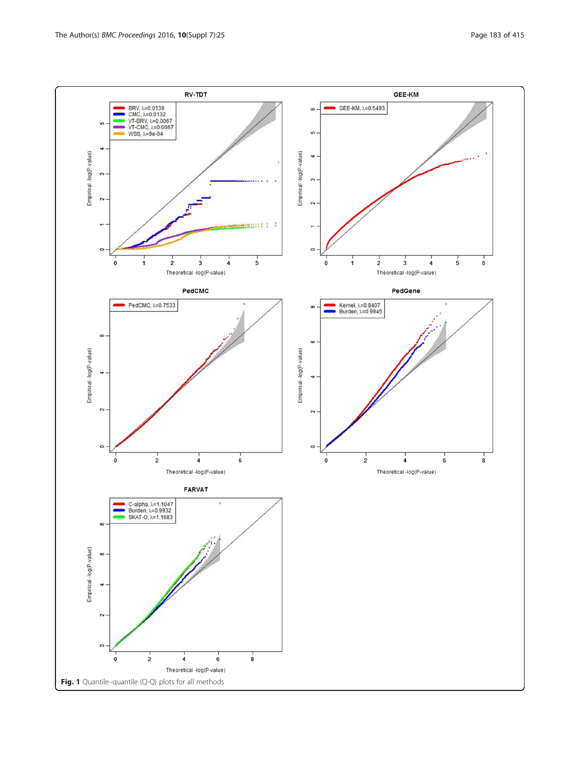<span id="page-2-0"></span>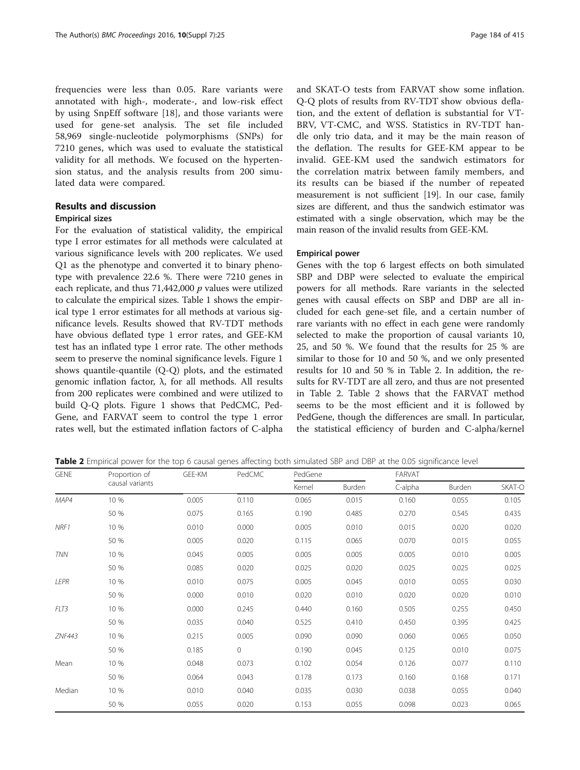frequencies were less than 0.05. Rare variants were annotated with high-, moderate-, and low-risk effect by using SnpEff software [[18\]](#page-5-0), and those variants were used for gene-set analysis. The set file included 58,969 single-nucleotide polymorphisms (SNPs) for 7210 genes, which was used to evaluate the statistical validity for all methods. We focused on the hypertension status, and the analysis results from 200 simulated data were compared.

## Results and discussion

## Empirical sizes

For the evaluation of statistical validity, the empirical type I error estimates for all methods were calculated at various significance levels with 200 replicates. We used Q1 as the phenotype and converted it to binary phenotype with prevalence 22.6 %. There were 7210 genes in each replicate, and thus  $71,442,000$   $p$  values were utilized to calculate the empirical sizes. Table [1](#page-1-0) shows the empirical type 1 error estimates for all methods at various significance levels. Results showed that RV-TDT methods have obvious deflated type 1 error rates, and GEE-KM test has an inflated type 1 error rate. The other methods seem to preserve the nominal significance levels. Figure [1](#page-2-0) shows quantile-quantile (Q-Q) plots, and the estimated genomic inflation factor, λ, for all methods. All results from 200 replicates were combined and were utilized to build Q-Q plots. Figure [1](#page-2-0) shows that PedCMC, Ped-Gene, and FARVAT seem to control the type 1 error rates well, but the estimated inflation factors of C-alpha

and SKAT-O tests from FARVAT show some inflation. Q-Q plots of results from RV-TDT show obvious deflation, and the extent of deflation is substantial for VT-BRV, VT-CMC, and WSS. Statistics in RV-TDT handle only trio data, and it may be the main reason of the deflation. The results for GEE-KM appear to be invalid. GEE-KM used the sandwich estimators for the correlation matrix between family members, and its results can be biased if the number of repeated measurement is not sufficient [\[19\]](#page-5-0). In our case, family sizes are different, and thus the sandwich estimator was estimated with a single observation, which may be the main reason of the invalid results from GEE-KM.

#### Empirical power

Genes with the top 6 largest effects on both simulated SBP and DBP were selected to evaluate the empirical powers for all methods. Rare variants in the selected genes with causal effects on SBP and DBP are all included for each gene-set file, and a certain number of rare variants with no effect in each gene were randomly selected to make the proportion of causal variants 10, 25, and 50 %. We found that the results for 25 % are similar to those for 10 and 50 %, and we only presented results for 10 and 50 % in Table 2. In addition, the results for RV-TDT are all zero, and thus are not presented in Table 2. Table 2 shows that the FARVAT method seems to be the most efficient and it is followed by PedGene, though the differences are small. In particular, the statistical efficiency of burden and C-alpha/kernel

Table 2 Empirical power for the top 6 causal genes affecting both simulated SBP and DBP at the 0.05 significance level

| <b>GENE</b> | Proportion of   | GEE-KM | PedCMC       | PedGene |        | FARVAT  |        |        |
|-------------|-----------------|--------|--------------|---------|--------|---------|--------|--------|
|             | causal variants |        |              | Kernel  | Burden | C-alpha | Burden | SKAT-O |
| MAP4        | 10 %            | 0.005  | 0.110        | 0.065   | 0.015  | 0.160   | 0.055  | 0.105  |
|             | 50 %            | 0.075  | 0.165        | 0.190   | 0.485  | 0.270   | 0.545  | 0.435  |
| NRF1        | 10 %            | 0.010  | 0.000        | 0.005   | 0.010  | 0.015   | 0.020  | 0.020  |
|             | 50 %            | 0.005  | 0.020        | 0.115   | 0.065  | 0.070   | 0.015  | 0.055  |
| <b>TNN</b>  | 10 %            | 0.045  | 0.005        | 0.005   | 0.005  | 0.005   | 0.010  | 0.005  |
|             | 50 %            | 0.085  | 0.020        | 0.025   | 0.020  | 0.025   | 0.025  | 0.025  |
| LEPR        | 10 %            | 0.010  | 0.075        | 0.005   | 0.045  | 0.010   | 0.055  | 0.030  |
|             | 50 %            | 0.000  | 0.010        | 0.020   | 0.010  | 0.020   | 0.020  | 0.010  |
| FLT3        | 10 %            | 0.000  | 0.245        | 0.440   | 0.160  | 0.505   | 0.255  | 0.450  |
|             | 50 %            | 0.035  | 0.040        | 0.525   | 0.410  | 0.450   | 0.395  | 0.425  |
| ZNF443      | 10 %            | 0.215  | 0.005        | 0.090   | 0.090  | 0.060   | 0.065  | 0.050  |
|             | 50 %            | 0.185  | $\mathbf{0}$ | 0.190   | 0.045  | 0.125   | 0.010  | 0.075  |
| Mean        | 10 %            | 0.048  | 0.073        | 0.102   | 0.054  | 0.126   | 0.077  | 0.110  |
|             | 50 %            | 0.064  | 0.043        | 0.178   | 0.173  | 0.160   | 0.168  | 0.171  |
| Median      | 10 %            | 0.010  | 0.040        | 0.035   | 0.030  | 0.038   | 0.055  | 0.040  |
|             | 50 %            | 0.055  | 0.020        | 0.153   | 0.055  | 0.098   | 0.023  | 0.065  |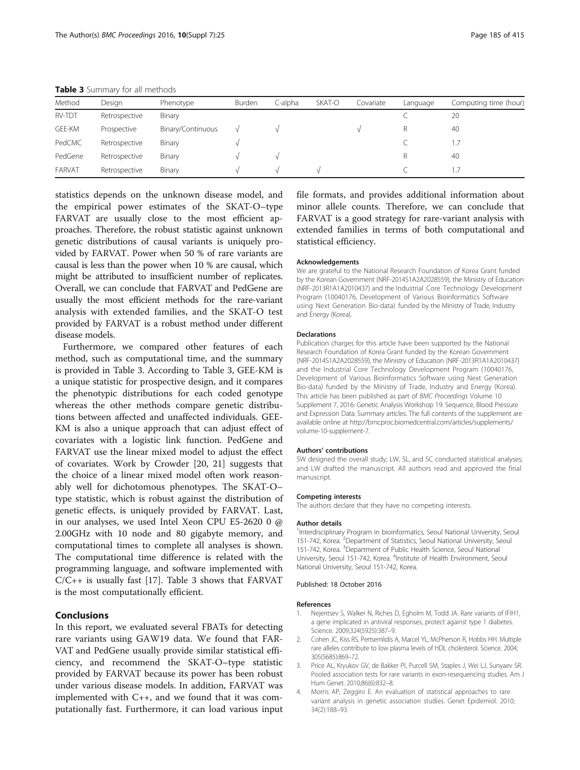| Method        | Design        | Phenotype         | Burden | C-alpha | SKAT-O | Covariate | Language | Computing time (hour) |
|---------------|---------------|-------------------|--------|---------|--------|-----------|----------|-----------------------|
| <b>RV-TDT</b> | Retrospective | Binary            |        |         |        |           |          | 20                    |
| GEE-KM        | Prospective   | Binary/Continuous |        |         |        |           | R        | 40                    |
| PedCMC        | Retrospective | Binary            |        |         |        |           |          |                       |
| PedGene       | Retrospective | Binary            |        |         |        |           | R        | 40                    |
| FARVAT        | Retrospective | Binary            |        |         |        |           |          |                       |

<span id="page-4-0"></span>Table 3 Summary for all methods

statistics depends on the unknown disease model, and the empirical power estimates of the SKAT-O–type FARVAT are usually close to the most efficient approaches. Therefore, the robust statistic against unknown genetic distributions of causal variants is uniquely provided by FARVAT. Power when 50 % of rare variants are causal is less than the power when 10 % are causal, which might be attributed to insufficient number of replicates. Overall, we can conclude that FARVAT and PedGene are usually the most efficient methods for the rare-variant analysis with extended families, and the SKAT-O test provided by FARVAT is a robust method under different disease models.

Furthermore, we compared other features of each method, such as computational time, and the summary is provided in Table 3. According to Table 3, GEE-KM is a unique statistic for prospective design, and it compares the phenotypic distributions for each coded genotype whereas the other methods compare genetic distributions between affected and unaffected individuals. GEE-KM is also a unique approach that can adjust effect of covariates with a logistic link function. PedGene and FARVAT use the linear mixed model to adjust the effect of covariates. Work by Crowder [\[20, 21](#page-5-0)] suggests that the choice of a linear mixed model often work reasonably well for dichotomous phenotypes. The SKAT-O– type statistic, which is robust against the distribution of genetic effects, is uniquely provided by FARVAT. Last, in our analyses, we used Intel Xeon CPU E5-2620 0 @ 2.00GHz with 10 node and 80 gigabyte memory, and computational times to complete all analyses is shown. The computational time difference is related with the programming language, and software implemented with  $C/C++$  is usually fast [\[17](#page-5-0)]. Table 3 shows that FARVAT is the most computationally efficient.

## Conclusions

In this report, we evaluated several FBATs for detecting rare variants using GAW19 data. We found that FAR-VAT and PedGene usually provide similar statistical efficiency, and recommend the SKAT-O–type statistic provided by FARVAT because its power has been robust under various disease models. In addition, FARVAT was implemented with C++, and we found that it was computationally fast. Furthermore, it can load various input

file formats, and provides additional information about minor allele counts. Therefore, we can conclude that FARVAT is a good strategy for rare-variant analysis with extended families in terms of both computational and statistical efficiency.

#### Acknowledgements

We are grateful to the National Research Foundation of Korea Grant funded by the Korean Government (NRF-2014S1A2A2028559), the Ministry of Education (NRF-2013R1A1A2010437) and the Industrial Core Technology Development Program (10040176, Development of Various Bioinformatics Software using Next Generation Bio-data) funded by the Ministry of Trade, Industry and Energy (Korea).

#### Declarations

Publication charges for this article have been supported by the National Research Foundation of Korea Grant funded by the Korean Government (NRF-2014S1A2A2028559), the Ministry of Education (NRF-2013R1A1A2010437) and the Industrial Core Technology Development Program (10040176, Development of Various Bioinformatics Software using Next Generation Bio-data) funded by the Ministry of Trade, Industry and Energy (Korea). This article has been published as part of BMC Proceedings Volume 10 Supplement 7, 2016: Genetic Analysis Workshop 19: Sequence, Blood Pressure and Expression Data. Summary articles. The full contents of the supplement are available online at [http://bmcproc.biomedcentral.com/articles/supplements/](http://bmcproc.biomedcentral.com/articles/supplements/volume-10-supplement-7) [volume-10-supplement-7.](http://bmcproc.biomedcentral.com/articles/supplements/volume-10-supplement-7)

#### Authors' contributions

SW designed the overall study; LW, SL, and SC conducted statistical analyses; and LW drafted the manuscript. All authors read and approved the final manuscript.

#### Competing interests

The authors declare that they have no competing interests.

#### Author details

<sup>1</sup>Interdisciplinary Program in bioinformatics, Seoul National University, Seoul 151-742, Korea. <sup>2</sup> Department of Statistics, Seoul National University, Seoul 151-742, Korea. <sup>3</sup>Department of Public Health Science, Seoul National University, Seoul 151-742, Korea. <sup>4</sup>Institute of Health Environment, Seoul National University, Seoul 151-742, Korea.

#### Published: 18 October 2016

#### References

- 1. Nejentsev S, Walker N, Riches D, Egholm M, Todd JA. Rare variants of IFIH1, a gene implicated in antiviral responses, protect against type 1 diabetes. Science. 2009;324(5925):387–9.
- 2. Cohen JC, Kiss RS, Pertsemlidis A, Marcel YL, McPherson R, Hobbs HH. Multiple rare alleles contribute to low plasma levels of HDL cholesterol. Science. 2004; 305(5685):869–72.
- 3. Price AL, Kryukov GV, de Bakker PI, Purcell SM, Staples J, Wei LJ, Sunyaev SR. Pooled association tests for rare variants in exon-resequencing studies. Am J Hum Genet. 2010;86(6):832–8.
- 4. Morris AP, Zeggini E. An evaluation of statistical approaches to rare variant analysis in genetic association studies. Genet Epidemiol. 2010; 34(2):188–93.